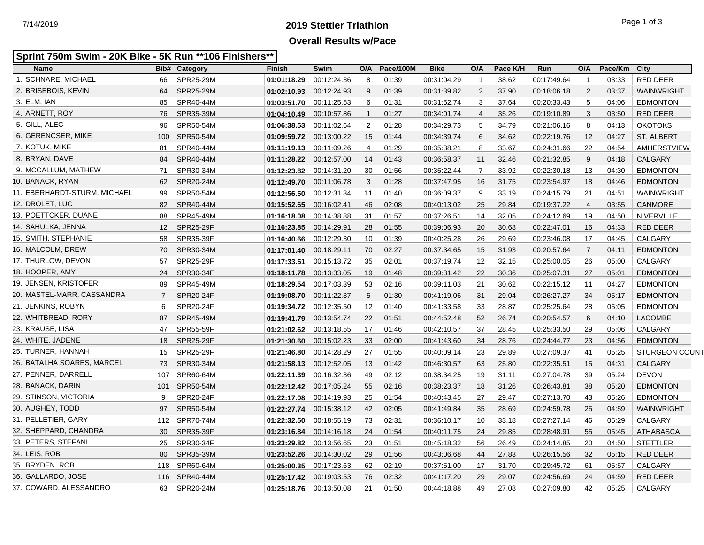## **2019 Stettler Triathlon** 7/14/2019 Page 1 of 3 **Overall Results w/Pace**

#### **Sprint 750m Swim - 20K Bike - 5K Run \*\*106 Finishers\*\***

| <b>Name</b>                  |                | <b>Bib# Category</b> | <b>Finish</b>           | Swim        | O/A            | Pace/100M | <b>Bike</b> | O/A            | Pace K/H | Run         | O/A            | Pace/Km | City                  |
|------------------------------|----------------|----------------------|-------------------------|-------------|----------------|-----------|-------------|----------------|----------|-------------|----------------|---------|-----------------------|
| 1. SCHNARE, MICHAEL          | 66             | SPR25-29M            | 01:01:18.29             | 00:12:24.36 | 8              | 01:39     | 00:31:04.29 | $\mathbf{1}$   | 38.62    | 00:17:49.64 | $\overline{1}$ | 03:33   | <b>RED DEER</b>       |
| 2. BRISEBOIS, KEVIN          | 64             | SPR25-29M            | 01:02:10.93             | 00:12:24.93 | 9              | 01:39     | 00:31:39.82 | 2              | 37.90    | 00:18:06.18 | 2              | 03:37   | WAINWRIGHT            |
| 3. ELM, IAN                  | 85             | SPR40-44M            | 01:03:51.70             | 00:11:25.53 | 6              | 01:31     | 00:31:52.74 | 3              | 37.64    | 00:20:33.43 | 5              | 04:06   | <b>EDMONTON</b>       |
| 4. ARNETT, ROY               | 76             | SPR35-39M            | 01:04:10.49             | 00:10:57.86 | $\mathbf{1}$   | 01:27     | 00:34:01.74 | $\overline{4}$ | 35.26    | 00:19:10.89 | 3              | 03:50   | RED DEER              |
| 5. GILL, ALEC                | 96             | SPR50-54M            | 01:06:38.53             | 00:11:02.64 | 2              | 01:28     | 00:34:29.73 | 5              | 34.79    | 00:21:06.16 | 8              | 04:13   | <b>OKOTOKS</b>        |
| 6. GERENCSER, MIKE           | 100            | SPR50-54M            | 01:09:59.72             | 00:13:00.22 | 15             | 01:44     | 00:34:39.74 | 6              | 34.62    | 00:22:19.76 | 12             | 04:27   | <b>ST. ALBERT</b>     |
| 7. KOTUK, MIKE               | 81             | SPR40-44M            | 01:11:19.13             | 00:11:09.26 | $\overline{4}$ | 01:29     | 00:35:38.21 | 8              | 33.67    | 00:24:31.66 | 22             | 04:54   | AMHERSTVIEW           |
| 8. BRYAN, DAVE               | 84             | SPR40-44M            | 01:11:28.22             | 00:12:57.00 | 14             | 01:43     | 00:36:58.37 | 11             | 32.46    | 00:21:32.85 | 9              | 04:18   | CALGARY               |
| 9. MCCALLUM, MATHEW          | 71             | SPR30-34M            | 01:12:23.82             | 00:14:31.20 | 30             | 01:56     | 00:35:22.44 | $\overline{7}$ | 33.92    | 00:22:30.18 | 13             | 04:30   | <b>EDMONTON</b>       |
| 10. BANACK, RYAN             | 62             | SPR20-24M            | 01:12:49.70             | 00.11.06.78 | 3              | 01:28     | 00:37:47.95 | 16             | 31.75    | 00:23:54.97 | 18             | 04:46   | <b>EDMONTON</b>       |
| 11. EBERHARDT-STURM, MICHAEL | 99             | SPR50-54M            | 01:12:56.50             | 00:12:31.34 | 11             | 01:40     | 00:36:09.37 | 9              | 33.19    | 00:24:15.79 | 21             | 04:51   | WAINWRIGHT            |
| 12. DROLET, LUC              | 82             | SPR40-44M            | 01:15:52.65             | 00.16.02.41 | 46             | 02:08     | 00:40:13.02 | 25             | 29.84    | 00:19:37.22 | $\overline{4}$ | 03:55   | CANMORE               |
| 13. POETTCKER, DUANE         | 88             | SPR45-49M            | 01:16:18.08             | 00:14:38.88 | 31             | 01:57     | 00:37:26.51 | 14             | 32.05    | 00:24:12.69 | 19             | 04:50   | <b>NIVERVILLE</b>     |
| 14. SAHULKA, JENNA           | 12             | <b>SPR25-29F</b>     | 01:16:23.85             | 00:14:29.91 | 28             | 01:55     | 00:39:06.93 | 20             | 30.68    | 00:22:47.01 | 16             | 04:33   | RED DEER              |
| 15. SMITH, STEPHANIE         | 58             | SPR35-39F            | 01:16:40.66             | 00.12.29.30 | 10             | 01:39     | 00:40:25.28 | 26             | 29.69    | 00:23:46.08 | 17             | 04:45   | CALGARY               |
| 16. MALCOLM, DREW            | 70             | SPR30-34M            | 01:17:01.40             | 00:18:29.11 | 70             | 02:27     | 00:37:34.65 | 15             | 31.93    | 00:20:57.64 | $\overline{7}$ | 04:11   | <b>EDMONTON</b>       |
| 17. THURLOW, DEVON           | 57             | <b>SPR25-29F</b>     | 01:17:33.51             | 00:15:13.72 | 35             | 02:01     | 00:37:19.74 | 12             | 32.15    | 00:25:00.05 | 26             | 05:00   | CALGARY               |
| 18. HOOPER, AMY              | 24             | SPR30-34F            | 01:18:11.78             | 00.13.33.05 | 19             | 01:48     | 00:39:31.42 | 22             | 30.36    | 00:25:07.31 | 27             | 05:01   | <b>EDMONTON</b>       |
| 19. JENSEN, KRISTOFER        | 89             | SPR45-49M            | 01:18:29.54             | 00:17:03.39 | 53             | 02:16     | 00:39:11.03 | 21             | 30.62    | 00:22:15.12 | 11             | 04:27   | <b>EDMONTON</b>       |
| 20. MASTEL-MARR, CASSANDRA   | $\overline{7}$ | <b>SPR20-24F</b>     | 01:19:08.70             | 00:11:22.37 | 5              | 01:30     | 00:41:19.06 | 31             | 29.04    | 00:26:27.27 | 34             | 05:17   | <b>EDMONTON</b>       |
| 21. JENKINS, ROBYN           | 6              | SPR20-24F            |                         |             | 12             | 01:40     | 00:41:33.58 | 33             | 28.87    | 00:25:25.64 | 28             | 05:05   | <b>EDMONTON</b>       |
| 22. WHITBREAD, RORY          | 87             | SPR45-49M            | 01:19:41.79             | 00:13:54.74 | 22             | 01:51     | 00:44:52.48 | 52             | 26.74    | 00:20:54.57 | 6              | 04:10   | <b>LACOMBE</b>        |
| 23. KRAUSE, LISA             | 47             | SPR55-59F            | 01:21:02.62             | 00:13:18.55 | 17             | 01:46     | 00:42:10.57 | 37             | 28.45    | 00:25:33.50 | 29             | 05:06   | CALGARY               |
| 24. WHITE, JADENE            | 18             | SPR25-29F            | 01:21:30.60             | 00:15:02.23 | 33             | 02:00     | 00:41:43.60 | 34             | 28.76    | 00:24:44.77 | 23             | 04:56   | <b>EDMONTON</b>       |
| 25. TURNER, HANNAH           | 15             | SPR25-29F            | 01:21:46.80             | 00:14:28.29 | 27             | 01:55     | 00:40:09.14 | 23             | 29.89    | 00:27:09.37 | 41             | 05:25   | <b>STURGEON COUNT</b> |
| 26. BATALHA SOARES, MARCEL   | 73             | SPR30-34M            | 01:21:58.13             | 00:12:52.05 | 13             | 01:42     | 00:46:30.57 | 63             | 25.80    | 00:22:35.51 | 15             | 04:31   | <b>CALGARY</b>        |
| 27. PENNER, DARRELL          | 107            | SPR60-64M            | 01:22:11.39             | 00:16:32.36 | 49             | 02:12     | 00:38:34.25 | 19             | 31.11    | 00:27:04.78 | 39             | 05:24   | <b>DEVON</b>          |
| 28. BANACK, DARIN            | 101            | SPR50-54M            | 01:22:12.42             | 00:17:05.24 | 55             | 02:16     | 00:38:23.37 | 18             | 31.26    | 00:26:43.81 | 38             | 05:20   | <b>EDMONTON</b>       |
| 29. STINSON, VICTORIA        | 9              | SPR20-24F            | 01:22:17.08             | 00:14:19.93 | 25             | 01:54     | 00:40:43.45 | 27             | 29.47    | 00:27:13.70 | 43             | 05:26   | <b>EDMONTON</b>       |
| 30. AUGHEY, TODD             | 97             | SPR50-54M            | 01:22:27.74             | 00:15:38.12 | 42             | 02:05     | 00:41:49.84 | 35             | 28.69    | 00:24:59.78 | 25             | 04:59   | <b>WAINWRIGHT</b>     |
| 31. PELLETIER, GARY          | 112            | SPR70-74M            | 01:22:32.50             | 00.18.55.19 | 73             | 02:31     | 00:36:10.17 | 10             | 33.18    | 00:27:27.14 | 46             | 05:29   | CALGARY               |
| 32. SHEPPARD, CHANDRA        | 30             | SPR35-39F            | 01:23:16.84             | 00.14.16.18 | 24             | 01:54     | 00:40:11.75 | 24             | 29.85    | 00:28:48.91 | 55             | 05:45   | <b>ATHABASCA</b>      |
| 33. PETERS, STEFANI          | 25             | SPR30-34F            | 01:23:29.82             | 00:13:56.65 | 23             | 01:51     | 00:45:18.32 | 56             | 26.49    | 00:24:14.85 | 20             | 04:50   | <b>STETTLER</b>       |
| 34. LEIS, ROB                | 80             | SPR35-39M            | 01:23:52.26             | 00.14.30.02 | 29             | 01:56     | 00:43:06.68 | 44             | 27.83    | 00:26:15.56 | 32             | 05:15   | <b>RED DEER</b>       |
| 35. BRYDEN, ROB              | 118            | SPR60-64M            | 01:25:00.35 00:17:23.63 |             | 62             | 02:19     | 00:37:51.00 | 17             | 31.70    | 00:29:45.72 | 61             | 05:57   | CALGARY               |
| 36. GALLARDO, JOSE           | 116            | SPR40-44M            | 01:25:17.42             | 00:19:03.53 | 76             | 02:32     | 00:41:17.20 | 29             | 29.07    | 00:24:56.69 | 24             | 04:59   | <b>RED DEER</b>       |
| 37. COWARD, ALESSANDRO       | 63             | SPR20-24M            | 01:25:18.76             | 00:13:50.08 | 21             | 01:50     | 00:44:18.88 | 49             | 27.08    | 00:27:09.80 | 42             | 05:25   | <b>CALGARY</b>        |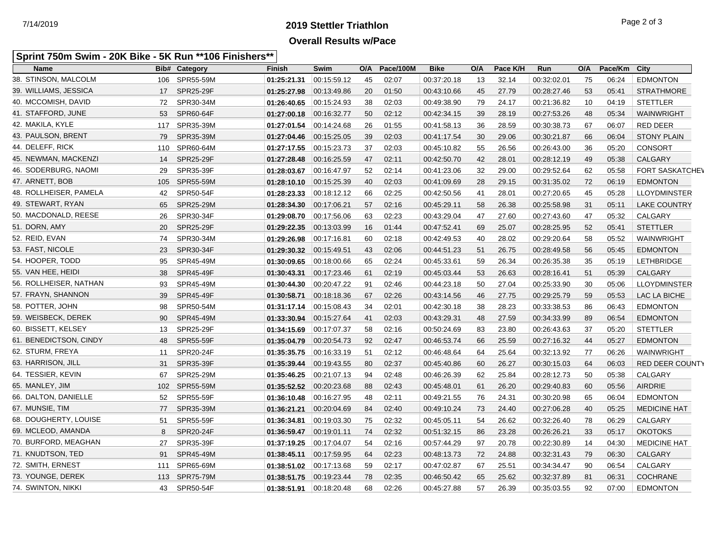# **2019 Stettler Triathlon** 7/14/2019 Page 2 of 3 **Overall Results w/Pace**

#### **Sprint 750m Swim - 20K Bike - 5K Run \*\*106 Finishers\*\***

| <b>Name</b>            |                  | <b>Bib# Category</b> | <b>Finish</b> | Swim                     | O/A | Pace/100M | <b>Bike</b> | O/A | Pace K/H | Run         | O/A | Pace/Km | City                   |
|------------------------|------------------|----------------------|---------------|--------------------------|-----|-----------|-------------|-----|----------|-------------|-----|---------|------------------------|
| 38. STINSON, MALCOLM   | 106              | SPR55-59M            | 01:25:21.31   | 00:15:59.12              | 45  | 02:07     | 00:37:20.18 | 13  | 32.14    | 00:32:02.01 | 75  | 06:24   | <b>EDMONTON</b>        |
| 39. WILLIAMS, JESSICA  | 17               | <b>SPR25-29F</b>     | 01:25:27.98   | 00:13:49.86              | 20  | 01:50     | 00:43:10.66 | 45  | 27.79    | 00:28:27.46 | 53  | 05:41   | <b>STRATHMORE</b>      |
| 40. MCCOMISH, DAVID    | 72               | SPR30-34M            | 01:26:40.65   | 00.15.24.93              | 38  | 02:03     | 00:49:38.90 | 79  | 24.17    | 00:21:36.82 | 10  | 04:19   | <b>STETTLER</b>        |
| 41. STAFFORD, JUNE     | 53               | SPR60-64F            | 01:27:00.18   | 00.16.32.77              | 50  | 02:12     | 00:42:34.15 | 39  | 28.19    | 00:27:53.26 | 48  | 05:34   | <b>WAINWRIGHT</b>      |
| 42. MAKILA, KYLE       | 117              | SPR35-39M            | 01:27:01.54   | 00:14:24.68              | 26  | 01:55     | 00:41:58.13 | 36  | 28.59    | 00:30:38.73 | 67  | 06:07   | <b>RED DEER</b>        |
| 43. PAULSON, BRENT     | 79               | SPR35-39M            | 01:27:04.46   | 00:15:25.05              | 39  | 02:03     | 00:41:17.54 | 30  | 29.06    | 00:30:21.87 | 66  | 06:04   | <b>STONY PLAIN</b>     |
| 44. DELEFF, RICK       | 110              | SPR60-64M            | 01:27:17.55   | 00.15.23.73              | 37  | 02:03     | 00:45:10.82 | 55  | 26.56    | 00:26:43.00 | 36  | 05:20   | <b>CONSORT</b>         |
| 45. NEWMAN, MACKENZI   | 14               | SPR25-29F            | 01:27:28.48   | 00:16:25.59              | 47  | 02:11     | 00:42:50.70 | 42  | 28.01    | 00:28:12.19 | 49  | 05:38   | <b>CALGARY</b>         |
| 46. SODERBURG, NAOMI   | 29               | SPR35-39F            | 01:28:03.67   | 00.16.47.97              | 52  | 02:14     | 00:41:23.06 | 32  | 29.00    | 00:29:52.64 | 62  | 05:58   | <b>FORT SASKATCHEV</b> |
| 47. ARNETT, BOB        | 105              | SPR55-59M            | 01:28:10.10   | 00.15.25.39              | 40  | 02:03     | 00:41:09.69 | 28  | 29.15    | 00:31:35.02 | 72  | 06:19   | <b>EDMONTON</b>        |
| 48. ROLLHEISER, PAMELA | 42               | SPR50-54F            | 01:28:23.33   | 00:18:12.12              | 66  | 02:25     | 00:42:50.56 | 41  | 28.01    | 00:27:20.65 | 45  | 05:28   | <b>LLOYDMINSTER</b>    |
| 49. STEWART, RYAN      | 65               | SPR25-29M            | 01:28:34.30   | 00:17:06.21              | 57  | 02:16     | 00:45:29.11 | 58  | 26.38    | 00:25:58.98 | 31  | 05:11   | <b>LAKE COUNTRY</b>    |
| 50. MACDONALD, REESE   | 26               | SPR30-34F            | 01:29:08.70   | 00:17:56.06              | 63  | 02:23     | 00:43:29.04 | 47  | 27.60    | 00:27:43.60 | 47  | 05:32   | CALGARY                |
| 51. DORN, AMY          | 20               | <b>SPR25-29F</b>     | 01:29:22.35   | 00.13.03.99              | 16  | 01:44     | 00:47:52.41 | 69  | 25.07    | 00:28:25.95 | 52  | 05:41   | <b>STETTLER</b>        |
| 52. REID, EVAN         | 74               | SPR30-34M            | 01:29:26.98   | 00:17:16.81              | 60  | 02:18     | 00:42:49.53 | 40  | 28.02    | 00:29:20.64 | 58  | 05:52   | WAINWRIGHT             |
| 53. FAST, NICOLE       | 23               | SPR30-34F            | 01:29:30.32   | 00.15.49.51              | 43  | 02:06     | 00:44:51.23 | 51  | 26.75    | 00:28:49.58 | 56  | 05:45   | <b>EDMONTON</b>        |
| 54. HOOPER, TODD       | 95               | SPR45-49M            | 01:30:09.65   | 00:18:00.66              | 65  | 02:24     | 00:45:33.61 | 59  | 26.34    | 00:26:35.38 | 35  | 05:19   | <b>LETHBRIDGE</b>      |
| 55. VAN HEE, HEIDI     | 38               | SPR45-49F            | 01:30:43.31   | 00:17:23.46              | 61  | 02:19     | 00:45:03.44 | 53  | 26.63    | 00:28:16.41 | 51  | 05:39   | <b>CALGARY</b>         |
| 56. ROLLHEISER, NATHAN | 93               | SPR45-49M            | 01:30:44.30   | 00:20:47.22              | 91  | 02:46     | 00:44:23.18 | 50  | 27.04    | 00:25:33.90 | 30  | 05:06   | <b>LLOYDMINSTER</b>    |
| 57. FRAYN, SHANNON     | 39               | <b>SPR45-49F</b>     | 01:30:58.71   | 00:18:18.36              | 67  | 02:26     | 00:43:14.56 | 46  | 27.75    | 00:29:25.79 | 59  | 05:53   | LAC LA BICHE           |
| 58. POTTER, JOHN       | 98               | SPR50-54M            | 01:31:17.14   | 00:15:08.43              | 34  | 02:01     | 00:42:30.18 | 38  | 28.23    | 00:33:38.53 | 86  | 06:43   | <b>EDMONTON</b>        |
| 59. WEISBECK, DEREK    | 90               | SPR45-49M            | 01:33:30.94   | 00:15:27.64              | 41  | 02:03     | 00:43:29.31 | 48  | 27.59    | 00:34:33.99 | 89  | 06:54   | <b>EDMONTON</b>        |
| 60. BISSETT, KELSEY    | 13               | SPR25-29F            | 01:34:15.69   | 00:17:07.37              | 58  | 02:16     | 00:50:24.69 | 83  | 23.80    | 00:26:43.63 | 37  | 05:20   | <b>STETTLER</b>        |
| 61. BENEDICTSON, CINDY | 48               | SPR55-59F            | 01:35:04.79   | 00:20:54.73              | 92  | 02:47     | 00:46:53.74 | 66  | 25.59    | 00:27:16.32 | 44  | 05:27   | <b>EDMONTON</b>        |
| 62. STURM, FREYA       | 11               | SPR20-24F            | 01:35:35.75   | 00:16:33.19              | 51  | 02:12     | 00:46:48.64 | 64  | 25.64    | 00:32:13.92 | 77  | 06:26   | WAINWRIGHT             |
| 63. HARRISON, JILL     | 31               | SPR35-39F            | 01:35:39.44   | 00.19.43.55              | 80  | 02:37     | 00:45:40.86 | 60  | 26.27    | 00:30:15.03 | 64  | 06:03   | <b>RED DEER COUNTY</b> |
| 64. TESSIER, KEVIN     | 67               | SPR25-29M            | 01:35:46.25   | 00.21.07.13              | 94  | 02:48     | 00:46:26.39 | 62  | 25.84    | 00:28:12.73 | 50  | 05:38   | CALGARY                |
| 65. MANLEY, JIM        | 102 <sub>2</sub> | SPR55-59M            | 01:35:52.52   | 00:20:23.68              | 88  | 02:43     | 00:45:48.01 | 61  | 26.20    | 00:29:40.83 | 60  | 05:56   | <b>AIRDRIE</b>         |
| 66. DALTON, DANIELLE   | 52               | SPR55-59F            | 01:36:10.48   | 00:16:27.95              | 48  | 02:11     | 00:49:21.55 | 76  | 24.31    | 00:30:20.98 | 65  | 06:04   | <b>EDMONTON</b>        |
| 67. MUNSIE, TIM        | 77               | SPR35-39M            | 01:36:21.21   | 00:20:04.69              | 84  | 02:40     | 00:49:10.24 | 73  | 24.40    | 00:27:06.28 | 40  | 05:25   | <b>MEDICINE HAT</b>    |
| 68. DOUGHERTY, LOUISE  | 51               | SPR55-59F            | 01:36:34.81   | 00:19:03.30              | 75  | 02:32     | 00:45:05.11 | 54  | 26.62    | 00:32:26.40 | 78  | 06:29   | CALGARY                |
| 69. MCLEOD, AMANDA     | 8                | SPR20-24F            | 01:36:59.47   | 00:19:01.11              | 74  | 02:32     | 00:51:32.15 | 86  | 23.28    | 00:26:26.21 | 33  | 05:17   | <b>OKOTOKS</b>         |
| 70. BURFORD, MEAGHAN   | 27               | SPR35-39F            |               |                          | 54  | 02:16     | 00:57:44.29 | 97  | 20.78    | 00:22:30.89 | 14  | 04:30   | <b>MEDICINE HAT</b>    |
| 71. KNUDTSON, TED      | 91               | SPR45-49M            | 01:38:45.11   | 00:17:59.95              | 64  | 02:23     | 00:48:13.73 | 72  | 24.88    | 00:32:31.43 | 79  | 06:30   | CALGARY                |
| 72. SMITH, ERNEST      | 111              | SPR65-69M            |               | 01:38:51.02  00:17:13.68 | 59  | 02:17     | 00:47:02.87 | 67  | 25.51    | 00:34:34.47 | 90  | 06:54   | CALGARY                |
| 73. YOUNGE, DEREK      | 113              | <b>SPR75-79M</b>     | 01:38:51.75   | 00:19:23.44              | 78  | 02:35     | 00:46:50.42 | 65  | 25.62    | 00:32:37.89 | 81  | 06:31   | <b>COCHRANE</b>        |
| 74. SWINTON, NIKKI     | 43               | SPR50-54F            | 01:38:51.91   | 00:18:20.48              | 68  | 02:26     | 00:45:27.88 | 57  | 26.39    | 00:35:03.55 | 92  | 07:00   | <b>EDMONTON</b>        |